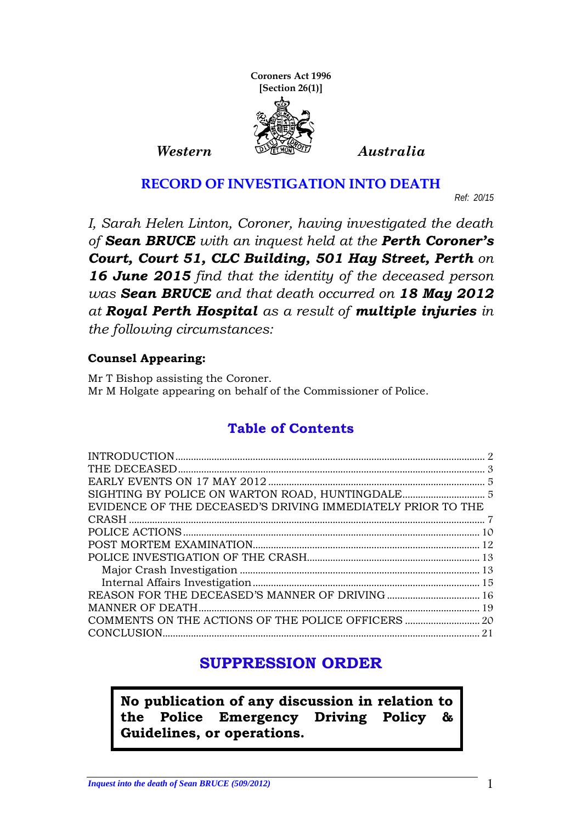

#### **RECORD OF INVESTIGATION INTO DEATH**

*Ref: 20/15*

*I, Sarah Helen Linton, Coroner, having investigated the death of Sean BRUCE with an inquest held at the Perth Coroner's Court, Court 51, CLC Building, 501 Hay Street, Perth on 16 June 2015 find that the identity of the deceased person was Sean BRUCE and that death occurred on 18 May 2012 at Royal Perth Hospital as a result of multiple injuries in the following circumstances:*

#### **Counsel Appearing:**

Mr T Bishop assisting the Coroner. Mr M Holgate appearing on behalf of the Commissioner of Police.

## **Table of Contents**

| EVIDENCE OF THE DECEASED'S DRIVING IMMEDIATELY PRIOR TO THE |    |
|-------------------------------------------------------------|----|
|                                                             |    |
|                                                             |    |
|                                                             |    |
|                                                             |    |
|                                                             |    |
|                                                             |    |
|                                                             |    |
|                                                             |    |
|                                                             |    |
|                                                             | 21 |
|                                                             |    |

# **SUPPRESSION ORDER**

**No publication of any discussion in relation to the Police Emergency Driving Policy & Guidelines, or operations.**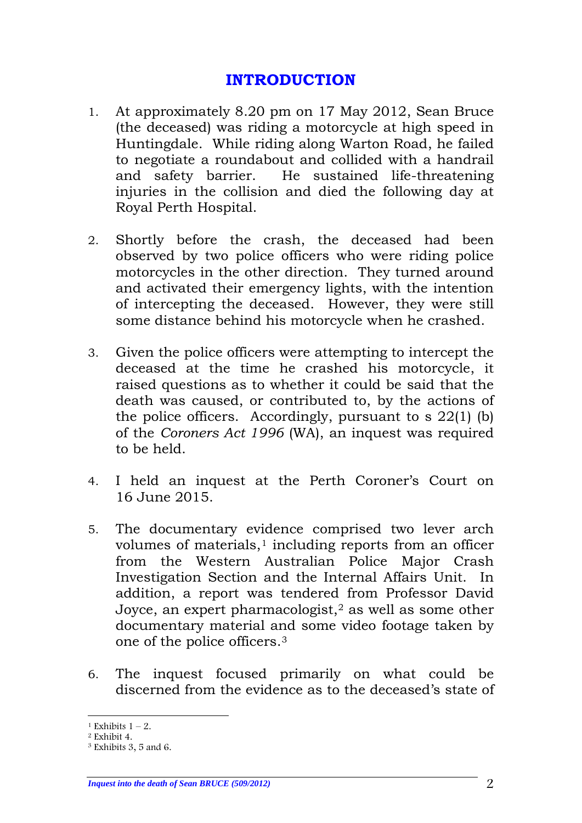#### **INTRODUCTION**

- <span id="page-1-0"></span>1. At approximately 8.20 pm on 17 May 2012, Sean Bruce (the deceased) was riding a motorcycle at high speed in Huntingdale. While riding along Warton Road, he failed to negotiate a roundabout and collided with a handrail He sustained life-threatening injuries in the collision and died the following day at Royal Perth Hospital.
- 2. Shortly before the crash, the deceased had been observed by two police officers who were riding police motorcycles in the other direction. They turned around and activated their emergency lights, with the intention of intercepting the deceased. However, they were still some distance behind his motorcycle when he crashed.
- 3. Given the police officers were attempting to intercept the deceased at the time he crashed his motorcycle, it raised questions as to whether it could be said that the death was caused, or contributed to, by the actions of the police officers. Accordingly, pursuant to s 22(1) (b) of the *Coroners Act 1996* (WA), an inquest was required to be held.
- 4. I held an inquest at the Perth Coroner's Court on 16 June 2015.
- 5. The documentary evidence comprised two lever arch volumes of materials, $1$  including reports from an officer from the Western Australian Police Major Crash Investigation Section and the Internal Affairs Unit. In addition, a report was tendered from Professor David Joyce, an expert pharmacologist,<sup>[2](#page-1-2)</sup> as well as some other documentary material and some video footage taken by one of the police officers.[3](#page-1-3)
- 6. The inquest focused primarily on what could be discerned from the evidence as to the deceased's state of

*Inquest into the death of Sean BRUCE (509/2012)* 2

<sup>&</sup>lt;sup>1</sup> Exhibits  $1 - 2$ .

<span id="page-1-2"></span><span id="page-1-1"></span><sup>2</sup> Exhibit 4.

<span id="page-1-3"></span><sup>3</sup> Exhibits 3, 5 and 6.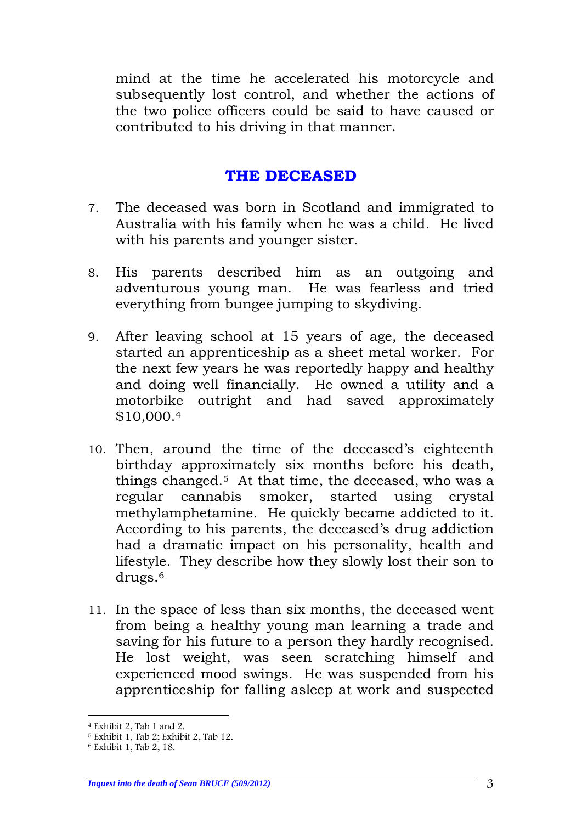mind at the time he accelerated his motorcycle and subsequently lost control, and whether the actions of the two police officers could be said to have caused or contributed to his driving in that manner.

### **THE DECEASED**

- <span id="page-2-0"></span>7. The deceased was born in Scotland and immigrated to Australia with his family when he was a child. He lived with his parents and younger sister.
- 8. His parents described him as an outgoing and adventurous young man. He was fearless and tried everything from bungee jumping to skydiving.
- 9. After leaving school at 15 years of age, the deceased started an apprenticeship as a sheet metal worker. For the next few years he was reportedly happy and healthy and doing well financially. He owned a utility and a motorbike outright and had saved approximately \$10,000.[4](#page-2-1)
- 10. Then, around the time of the deceased's eighteenth birthday approximately six months before his death, things changed.<sup>5</sup> At that time, the deceased, who was a regular cannabis smoker, started using crystal methylamphetamine. He quickly became addicted to it. According to his parents, the deceased's drug addiction had a dramatic impact on his personality, health and lifestyle. They describe how they slowly lost their son to drugs[.6](#page-2-3)
- 11. In the space of less than six months, the deceased went from being a healthy young man learning a trade and saving for his future to a person they hardly recognised. He lost weight, was seen scratching himself and experienced mood swings. He was suspended from his apprenticeship for falling asleep at work and suspected

 <sup>4</sup> Exhibit 2, Tab 1 and 2.

<span id="page-2-2"></span><span id="page-2-1"></span><sup>5</sup> Exhibit 1, Tab 2; Exhibit 2, Tab 12.

<span id="page-2-3"></span> $6$  Exhibit 1, Tab 2, 18.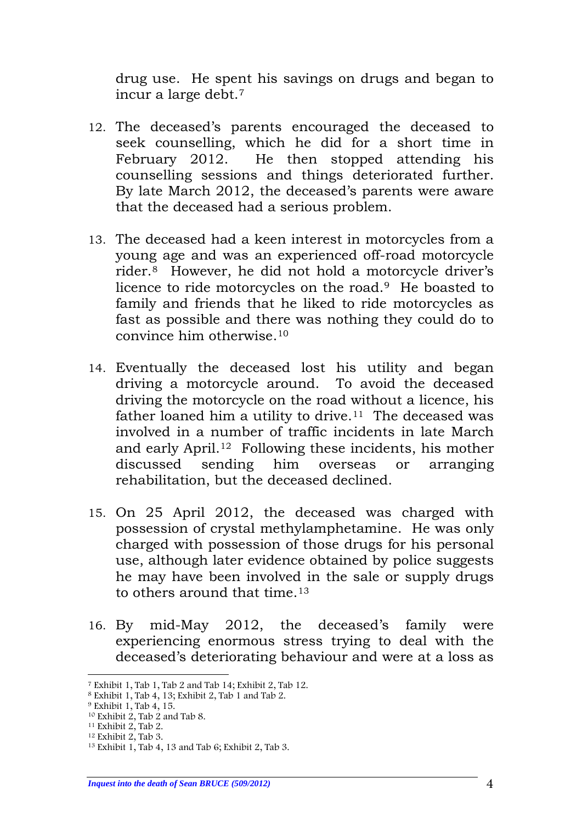drug use. He spent his savings on drugs and began to incur a large debt.[7](#page-3-0)

- 12. The deceased's parents encouraged the deceased to seek counselling, which he did for a short time in February 2012. He then stopped attending his counselling sessions and things deteriorated further. By late March 2012, the deceased's parents were aware that the deceased had a serious problem.
- 13. The deceased had a keen interest in motorcycles from a young age and was an experienced off-road motorcycle rider.[8](#page-3-1) However, he did not hold a motorcycle driver's licence to ride motorcycles on the road.[9](#page-3-2) He boasted to family and friends that he liked to ride motorcycles as fast as possible and there was nothing they could do to convince him otherwise.[10](#page-3-3)
- 14. Eventually the deceased lost his utility and began driving a motorcycle around. To avoid the deceased driving the motorcycle on the road without a licence, his father loaned him a utility to drive.<sup>[11](#page-3-4)</sup> The deceased was involved in a number of traffic incidents in late March and early April[.12](#page-3-5) Following these incidents, his mother discussed sending him overseas or arranging rehabilitation, but the deceased declined.
- 15. On 25 April 2012, the deceased was charged with possession of crystal methylamphetamine. He was only charged with possession of those drugs for his personal use, although later evidence obtained by police suggests he may have been involved in the sale or supply drugs to others around that time.[13](#page-3-6)
- 16. By mid-May 2012, the deceased's family were experiencing enormous stress trying to deal with the deceased's deteriorating behaviour and were at a loss as

<span id="page-3-0"></span> <sup>7</sup> Exhibit 1, Tab 1, Tab 2 and Tab 14; Exhibit 2, Tab 12.

<span id="page-3-1"></span><sup>8</sup> Exhibit 1, Tab 4, 13; Exhibit 2, Tab 1 and Tab 2.

<span id="page-3-2"></span> $9$  Exhibit 1, Tab 4, 15.

<span id="page-3-3"></span><sup>10</sup> Exhibit 2, Tab 2 and Tab 8.

<span id="page-3-4"></span><sup>11</sup> Exhibit 2, Tab 2.

<span id="page-3-5"></span><sup>12</sup> Exhibit 2, Tab 3.

<span id="page-3-6"></span><sup>13</sup> Exhibit 1, Tab 4, 13 and Tab 6; Exhibit 2, Tab 3.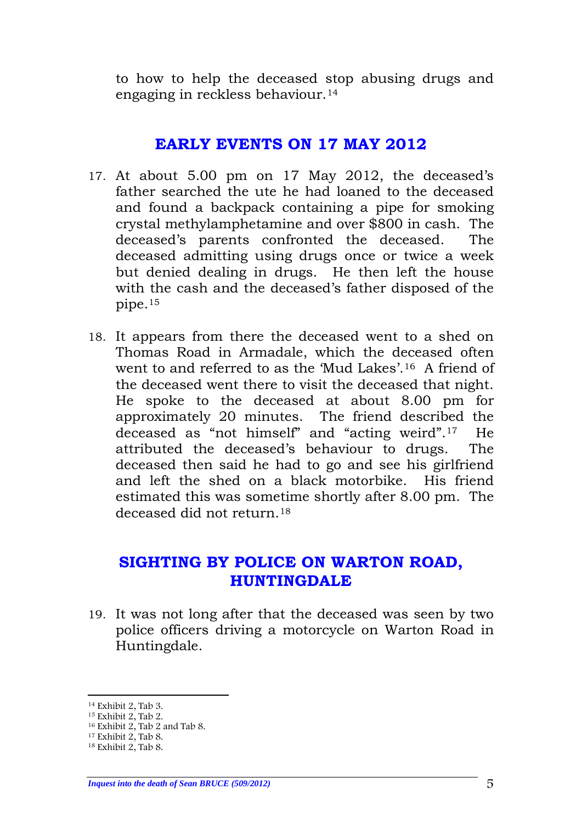to how to help the deceased stop abusing drugs and engaging in reckless behaviour.[14](#page-4-2)

#### **EARLY EVENTS ON 17 MAY 2012**

- <span id="page-4-0"></span>17. At about 5.00 pm on 17 May 2012, the deceased's father searched the ute he had loaned to the deceased and found a backpack containing a pipe for smoking crystal methylamphetamine and over \$800 in cash. The deceased's parents confronted the deceased. The deceased admitting using drugs once or twice a week but denied dealing in drugs. He then left the house with the cash and the deceased's father disposed of the pipe.[15](#page-4-3)
- 18. It appears from there the deceased went to a shed on Thomas Road in Armadale, which the deceased often went to and referred to as the 'Mud Lakes'.[16](#page-4-4) A friend of the deceased went there to visit the deceased that night. He spoke to the deceased at about 8.00 pm for approximately 20 minutes. The friend described the deceased as "not himself" and "acting weird".[17](#page-4-5) He attributed the deceased's behaviour to drugs. The deceased then said he had to go and see his girlfriend and left the shed on a black motorbike. His friend estimated this was sometime shortly after 8.00 pm. The deceased did not return.[18](#page-4-6)

#### <span id="page-4-1"></span>**SIGHTING BY POLICE ON WARTON ROAD, HUNTINGDALE**

19. It was not long after that the deceased was seen by two police officers driving a motorcycle on Warton Road in Huntingdale.

<span id="page-4-2"></span> <sup>14</sup> Exhibit 2, Tab 3.

<span id="page-4-3"></span><sup>15</sup> Exhibit 2, Tab 2.

<sup>16</sup> Exhibit 2, Tab 2 and Tab 8.

<span id="page-4-5"></span><span id="page-4-4"></span> $17$  Exhibit 2, Tab 8.

<span id="page-4-6"></span><sup>18</sup> Exhibit 2, Tab 8.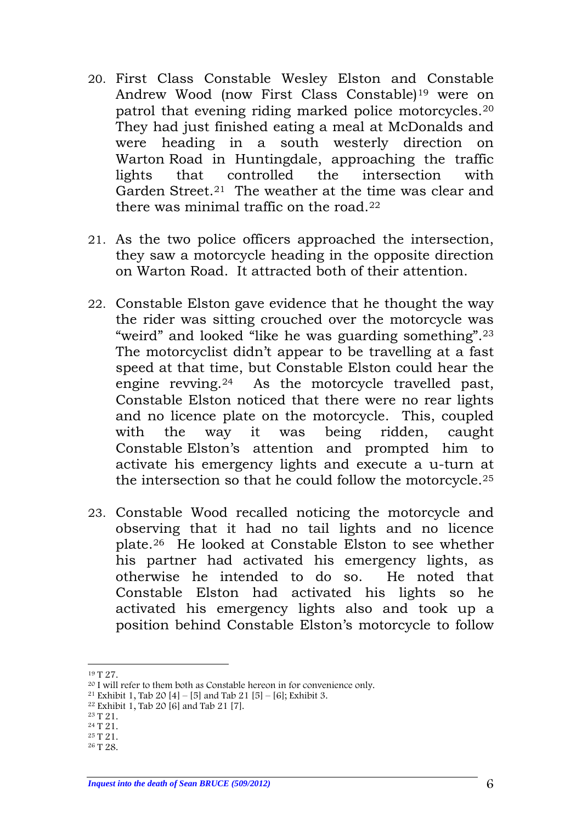- 20. First Class Constable Wesley Elston and Constable Andrew Wood (now First Class Constable)[19](#page-5-0) were on patrol that evening riding marked police motorcycles.[20](#page-5-1) They had just finished eating a meal at McDonalds and were heading in a south westerly direction on Warton Road in Huntingdale, approaching the traffic lights that controlled the intersection with Garden Street.<sup>[21](#page-5-2)</sup> The weather at the time was clear and there was minimal traffic on the road.[22](#page-5-3)
- 21. As the two police officers approached the intersection, they saw a motorcycle heading in the opposite direction on Warton Road. It attracted both of their attention.
- 22. Constable Elston gave evidence that he thought the way the rider was sitting crouched over the motorcycle was "weird" and looked "like he was guarding something".[23](#page-5-4) The motorcyclist didn't appear to be travelling at a fast speed at that time, but Constable Elston could hear the engine revving.[24](#page-5-5) As the motorcycle travelled past, Constable Elston noticed that there were no rear lights and no licence plate on the motorcycle. This, coupled with the way it was being ridden, caught Constable Elston's attention and prompted him to activate his emergency lights and execute a u-turn at the intersection so that he could follow the motorcycle.[25](#page-5-6)
- 23. Constable Wood recalled noticing the motorcycle and observing that it had no tail lights and no licence plate.[26](#page-5-7) He looked at Constable Elston to see whether his partner had activated his emergency lights, as otherwise he intended to do so. He noted that Constable Elston had activated his lights so he activated his emergency lights also and took up a position behind Constable Elston's motorcycle to follow

<span id="page-5-0"></span> <sup>19</sup> T 27.

<sup>20</sup> I will refer to them both as Constable hereon in for convenience only.

<span id="page-5-2"></span><span id="page-5-1"></span><sup>&</sup>lt;sup>21</sup> Exhibit 1, Tab 20 [4] – [5] and Tab 21 [5] – [6]; Exhibit 3.

<span id="page-5-3"></span><sup>&</sup>lt;sup>22</sup> Exhibit 1, Tab 20 [6] and Tab 21 [7].

<span id="page-5-4"></span><sup>23</sup> T 21.

<span id="page-5-5"></span><sup>24</sup> T 21.

<span id="page-5-6"></span><sup>25</sup> T 21.

<span id="page-5-7"></span><sup>26</sup> T 28.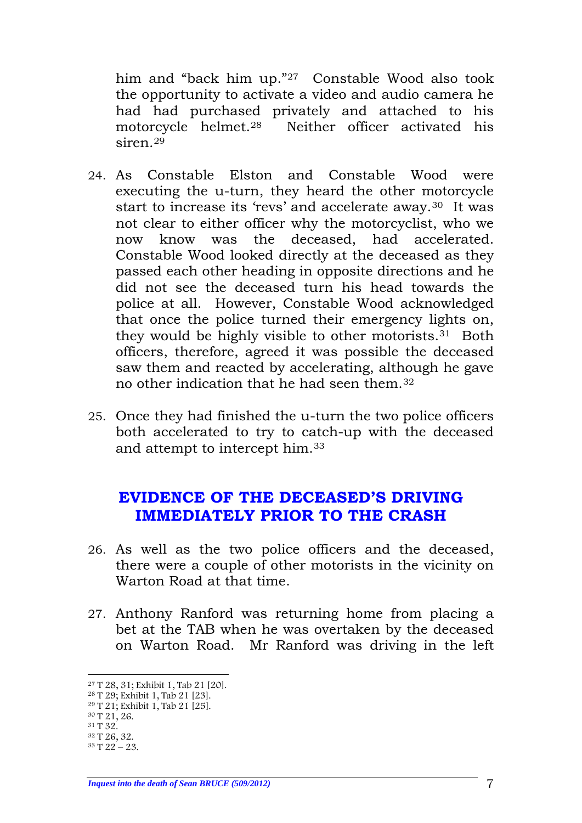him and "back him up."[27](#page-6-1) Constable Wood also took the opportunity to activate a video and audio camera he had had purchased privately and attached to his motorcycle helmet.[28](#page-6-2) Neither officer activated his siren[.29](#page-6-3)

- 24. As Constable Elston and Constable Wood were executing the u-turn, they heard the other motorcycle start to increase its 'revs' and accelerate away.<sup>[30](#page-6-4)</sup> It was not clear to either officer why the motorcyclist, who we now know was the deceased, had accelerated. Constable Wood looked directly at the deceased as they passed each other heading in opposite directions and he did not see the deceased turn his head towards the police at all. However, Constable Wood acknowledged that once the police turned their emergency lights on, they would be highly visible to other motorists.[31](#page-6-5) Both officers, therefore, agreed it was possible the deceased saw them and reacted by accelerating, although he gave no other indication that he had seen them.[32](#page-6-6)
- 25. Once they had finished the u-turn the two police officers both accelerated to try to catch-up with the deceased and attempt to intercept him.[33](#page-6-7)

#### <span id="page-6-0"></span>**EVIDENCE OF THE DECEASED'S DRIVING IMMEDIATELY PRIOR TO THE CRASH**

- 26. As well as the two police officers and the deceased, there were a couple of other motorists in the vicinity on Warton Road at that time.
- 27. Anthony Ranford was returning home from placing a bet at the TAB when he was overtaken by the deceased on Warton Road. Mr Ranford was driving in the left

<span id="page-6-1"></span> <sup>27</sup> T 28, 31; Exhibit 1, Tab 21 [20].

<span id="page-6-2"></span><sup>28</sup> T 29; Exhibit 1, Tab 21 [23].

<span id="page-6-3"></span><sup>29</sup> T 21; Exhibit 1, Tab 21 [25].

<span id="page-6-4"></span><sup>30</sup> T 21, 26.

<span id="page-6-5"></span><sup>31</sup> T 32.

<span id="page-6-6"></span><sup>32</sup> T 26, 32.

<span id="page-6-7"></span><sup>33</sup> T 22 – 23.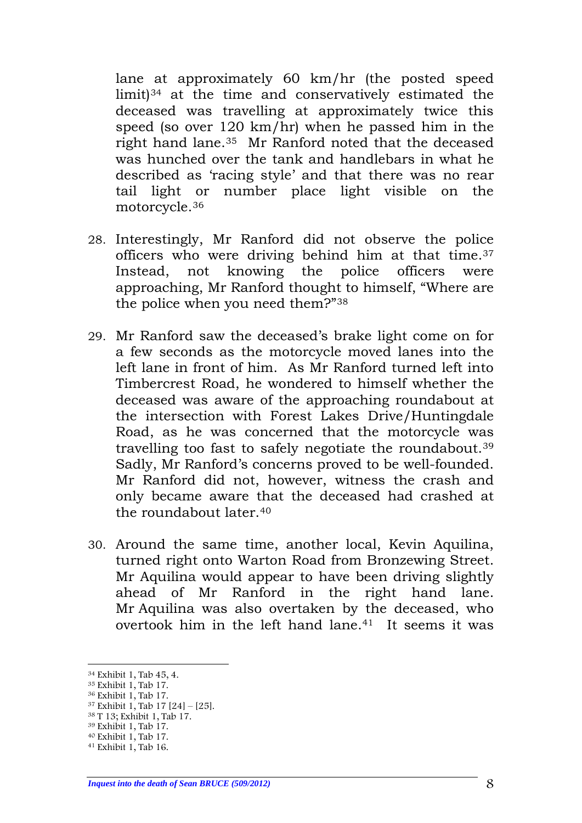lane at approximately 60 km/hr (the posted speed limit)[34](#page-7-0) at the time and conservatively estimated the deceased was travelling at approximately twice this speed (so over 120 km/hr) when he passed him in the right hand lane.[35](#page-7-1) Mr Ranford noted that the deceased was hunched over the tank and handlebars in what he described as 'racing style' and that there was no rear tail light or number place light visible on the motorcycle.[36](#page-7-2) 

- 28. Interestingly, Mr Ranford did not observe the police officers who were driving behind him at that time.[37](#page-7-3) Instead, not knowing the police officers were approaching, Mr Ranford thought to himself, "Where are the police when you need them?"[38](#page-7-4)
- 29. Mr Ranford saw the deceased's brake light come on for a few seconds as the motorcycle moved lanes into the left lane in front of him. As Mr Ranford turned left into Timbercrest Road, he wondered to himself whether the deceased was aware of the approaching roundabout at the intersection with Forest Lakes Drive/Huntingdale Road, as he was concerned that the motorcycle was travelling too fast to safely negotiate the roundabout.[39](#page-7-5) Sadly, Mr Ranford's concerns proved to be well-founded. Mr Ranford did not, however, witness the crash and only became aware that the deceased had crashed at the roundabout later.<sup>[40](#page-7-6)</sup>
- 30. Around the same time, another local, Kevin Aquilina, turned right onto Warton Road from Bronzewing Street. Mr Aquilina would appear to have been driving slightly ahead of Mr Ranford in the right hand lane. Mr Aquilina was also overtaken by the deceased, who overtook him in the left hand lane.[41](#page-7-7) It seems it was

<span id="page-7-5"></span><sup>39</sup> Exhibit 1, Tab 17.

<span id="page-7-0"></span> <sup>34</sup> Exhibit 1, Tab 45, 4.

<span id="page-7-1"></span><sup>35</sup> Exhibit 1, Tab 17.

<span id="page-7-2"></span><sup>36</sup> Exhibit 1, Tab 17.

<span id="page-7-3"></span><sup>37</sup> Exhibit 1, Tab 17 [24] – [25].

<span id="page-7-4"></span><sup>38</sup> T 13; Exhibit 1, Tab 17.

<span id="page-7-6"></span><sup>40</sup> Exhibit 1, Tab 17.

<span id="page-7-7"></span><sup>41</sup> Exhibit 1, Tab 16.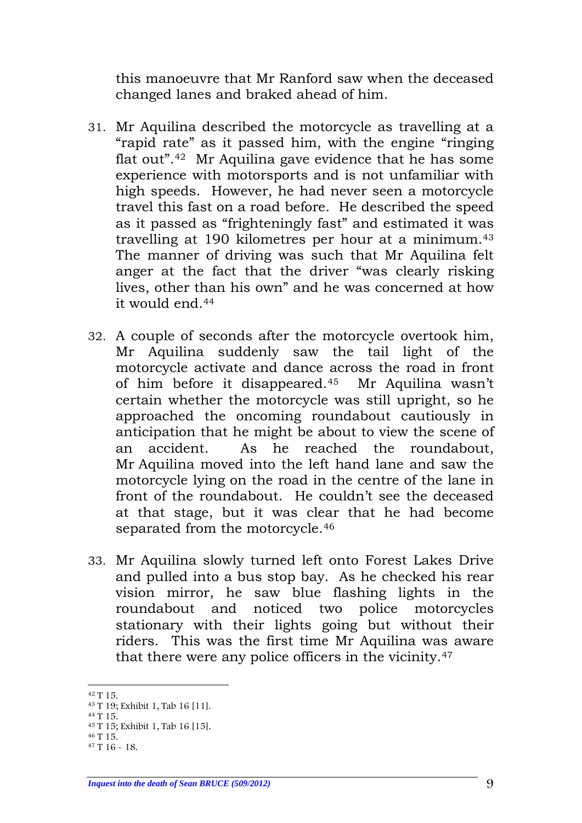this manoeuvre that Mr Ranford saw when the deceased changed lanes and braked ahead of him.

- 31. Mr Aquilina described the motorcycle as travelling at a "rapid rate" as it passed him, with the engine "ringing flat out".[42](#page-8-0) Mr Aquilina gave evidence that he has some experience with motorsports and is not unfamiliar with high speeds. However, he had never seen a motorcycle travel this fast on a road before. He described the speed as it passed as "frighteningly fast" and estimated it was travelling at 190 kilometres per hour at a minimum.[43](#page-8-1) The manner of driving was such that Mr Aquilina felt anger at the fact that the driver "was clearly risking lives, other than his own" and he was concerned at how it would end.[44](#page-8-2)
- 32. A couple of seconds after the motorcycle overtook him, Mr Aquilina suddenly saw the tail light of the motorcycle activate and dance across the road in front of him before it disappeared.[45](#page-8-3) Mr Aquilina wasn't certain whether the motorcycle was still upright, so he approached the oncoming roundabout cautiously in anticipation that he might be about to view the scene of an accident. As he reached the roundabout, Mr Aquilina moved into the left hand lane and saw the motorcycle lying on the road in the centre of the lane in front of the roundabout. He couldn't see the deceased at that stage, but it was clear that he had become separated from the motorcycle.<sup>[46](#page-8-4)</sup>
- 33. Mr Aquilina slowly turned left onto Forest Lakes Drive and pulled into a bus stop bay. As he checked his rear vision mirror, he saw blue flashing lights in the roundabout and noticed two police motorcycles stationary with their lights going but without their riders. This was the first time Mr Aquilina was aware that there were any police officers in the vicinity.[47](#page-8-5)

<span id="page-8-0"></span> <sup>42</sup> T 15.

<sup>43</sup> T 19; Exhibit 1, Tab 16 [11].

<span id="page-8-3"></span><span id="page-8-2"></span><span id="page-8-1"></span><sup>44</sup> T 15. <sup>45</sup> T 15; Exhibit 1, Tab 16 [15].

<span id="page-8-4"></span><sup>46</sup> T 15.

<span id="page-8-5"></span> $47 T 16 - 18$ 

*Inquest into the death of Sean BRUCE (509/2012)* 9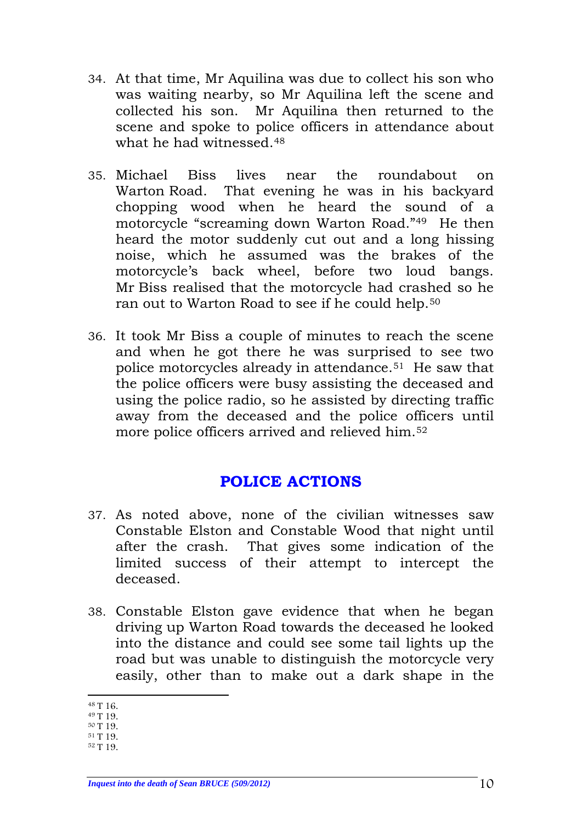- 34. At that time, Mr Aquilina was due to collect his son who was waiting nearby, so Mr Aquilina left the scene and collected his son. Mr Aquilina then returned to the scene and spoke to police officers in attendance about what he had witnessed.<sup>48</sup>
- 35. Michael Biss lives near the roundabout on Warton Road. That evening he was in his backyard chopping wood when he heard the sound of a motorcycle "screaming down Warton Road."[49](#page-9-2) He then heard the motor suddenly cut out and a long hissing noise, which he assumed was the brakes of the motorcycle's back wheel, before two loud bangs. Mr Biss realised that the motorcycle had crashed so he ran out to Warton Road to see if he could help.<sup>[50](#page-9-3)</sup>
- 36. It took Mr Biss a couple of minutes to reach the scene and when he got there he was surprised to see two police motorcycles already in attendance.[51](#page-9-4) He saw that the police officers were busy assisting the deceased and using the police radio, so he assisted by directing traffic away from the deceased and the police officers until more police officers arrived and relieved him.[52](#page-9-5)

## **POLICE ACTIONS**

- <span id="page-9-0"></span>37. As noted above, none of the civilian witnesses saw Constable Elston and Constable Wood that night until after the crash. That gives some indication of the limited success of their attempt to intercept the deceased.
- 38. Constable Elston gave evidence that when he began driving up Warton Road towards the deceased he looked into the distance and could see some tail lights up the road but was unable to distinguish the motorcycle very easily, other than to make out a dark shape in the

<span id="page-9-5"></span><span id="page-9-4"></span><span id="page-9-3"></span><sup>52</sup> T 19.

<span id="page-9-1"></span> <sup>48</sup> T 16.

<span id="page-9-2"></span><sup>49</sup> T 19.

<sup>50</sup> T 19. <sup>51</sup> T 19.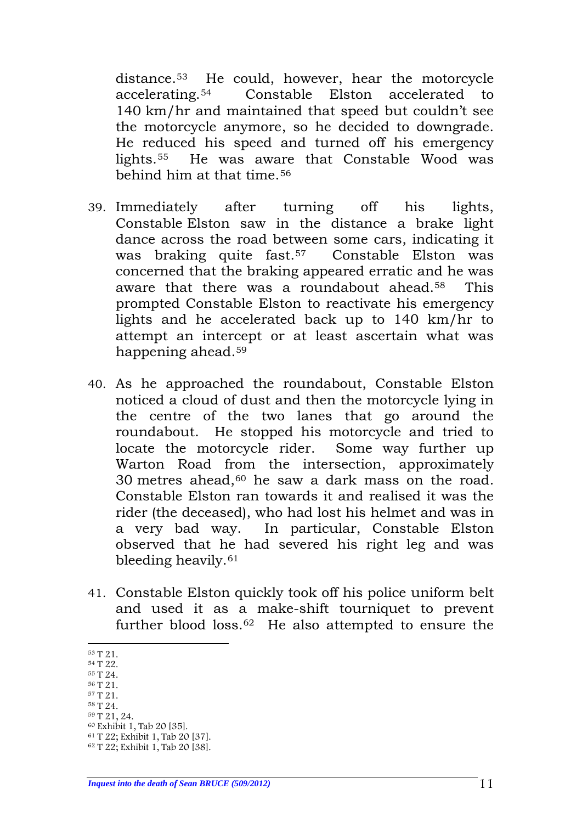distance.[53](#page-10-0) He could, however, hear the motorcycle accelerating.[54](#page-10-1) Constable Elston accelerated to 140 km/hr and maintained that speed but couldn't see the motorcycle anymore, so he decided to downgrade. He reduced his speed and turned off his emergency lights.[55](#page-10-2) He was aware that Constable Wood was behind him at that time.[56](#page-10-3)

- 39. Immediately after turning off his lights, Constable Elston saw in the distance a brake light dance across the road between some cars, indicating it was braking quite fast.[57](#page-10-4) Constable Elston was concerned that the braking appeared erratic and he was aware that there was a roundabout ahead[.58](#page-10-5) This prompted Constable Elston to reactivate his emergency lights and he accelerated back up to 140 km/hr to attempt an intercept or at least ascertain what was happening ahead[.59](#page-10-6)
- 40. As he approached the roundabout, Constable Elston noticed a cloud of dust and then the motorcycle lying in the centre of the two lanes that go around the roundabout. He stopped his motorcycle and tried to locate the motorcycle rider. Some way further up Warton Road from the intersection, approximately 30 metres ahead, $60$  he saw a dark mass on the road. Constable Elston ran towards it and realised it was the rider (the deceased), who had lost his helmet and was in a very bad way. In particular, Constable Elston observed that he had severed his right leg and was bleeding heavily.[61](#page-10-8)
- 41. Constable Elston quickly took off his police uniform belt and used it as a make-shift tourniquet to prevent further blood loss.[62](#page-10-9) He also attempted to ensure the

- <span id="page-10-5"></span><span id="page-10-4"></span><sup>58</sup> T 24.
- <span id="page-10-6"></span><sup>59</sup> T 21, 24.
- <span id="page-10-7"></span><sup>60</sup> Exhibit 1, Tab 20 [35].

<span id="page-10-0"></span> <sup>53</sup> T 21.

<span id="page-10-1"></span><sup>54</sup> T 22.

<span id="page-10-2"></span><sup>55</sup> T 24. <sup>56</sup> T 21.

<span id="page-10-3"></span><sup>57</sup> T 21.

<span id="page-10-8"></span><sup>61</sup> T 22; Exhibit 1, Tab 20 [37].

<span id="page-10-9"></span><sup>62</sup> T 22; Exhibit 1, Tab 20 [38].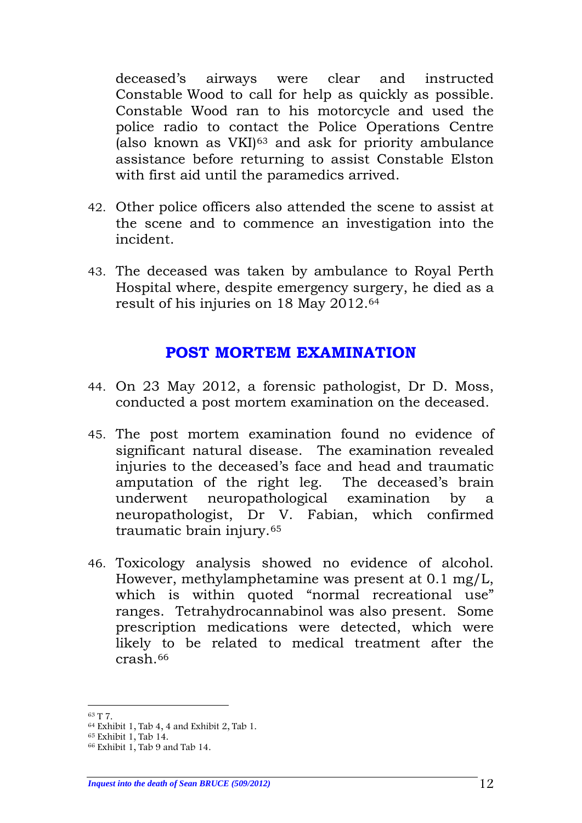deceased's airways were clear and instructed Constable Wood to call for help as quickly as possible. Constable Wood ran to his motorcycle and used the police radio to contact the Police Operations Centre (also known as  $VKI$ )<sup>[63](#page-11-1)</sup> and ask for priority ambulance assistance before returning to assist Constable Elston with first aid until the paramedics arrived.

- 42. Other police officers also attended the scene to assist at the scene and to commence an investigation into the incident.
- 43. The deceased was taken by ambulance to Royal Perth Hospital where, despite emergency surgery, he died as a result of his injuries on 18 May 2012.[64](#page-11-2)

#### **POST MORTEM EXAMINATION**

- <span id="page-11-0"></span>44. On 23 May 2012, a forensic pathologist, Dr D. Moss, conducted a post mortem examination on the deceased.
- 45. The post mortem examination found no evidence of significant natural disease. The examination revealed injuries to the deceased's face and head and traumatic amputation of the right leg. The deceased's brain underwent neuropathological examination by a neuropathologist, Dr V. Fabian, which confirmed traumatic brain injury.[65](#page-11-3)
- 46. Toxicology analysis showed no evidence of alcohol. However, methylamphetamine was present at 0.1 mg/L, which is within quoted "normal recreational use" ranges. Tetrahydrocannabinol was also present. Some prescription medications were detected, which were likely to be related to medical treatment after the  $crash$ <sup>[66](#page-11-4)</sup>

<span id="page-11-1"></span> <sup>63</sup> T 7.

<span id="page-11-2"></span><sup>64</sup> Exhibit 1, Tab 4, 4 and Exhibit 2, Tab 1.

<span id="page-11-3"></span><sup>65</sup> Exhibit 1, Tab 14.

<span id="page-11-4"></span><sup>66</sup> Exhibit 1, Tab 9 and Tab 14.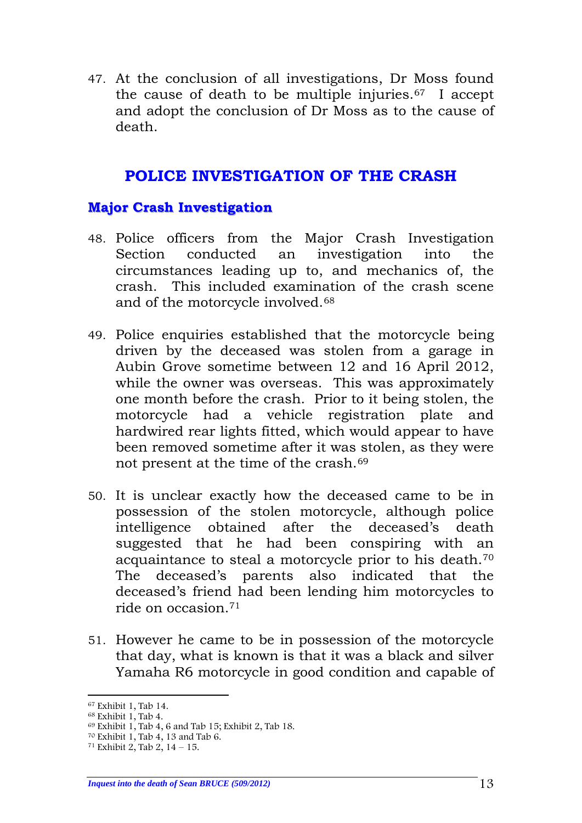47. At the conclusion of all investigations, Dr Moss found the cause of death to be multiple injuries.[67](#page-12-2) I accept and adopt the conclusion of Dr Moss as to the cause of death.

## **POLICE INVESTIGATION OF THE CRASH**

#### <span id="page-12-1"></span><span id="page-12-0"></span>**Major Crash Investigation**

- 48. Police officers from the Major Crash Investigation Section conducted an investigation into the circumstances leading up to, and mechanics of, the crash. This included examination of the crash scene and of the motorcycle involved.[68](#page-12-3)
- 49. Police enquiries established that the motorcycle being driven by the deceased was stolen from a garage in Aubin Grove sometime between 12 and 16 April 2012, while the owner was overseas. This was approximately one month before the crash. Prior to it being stolen, the motorcycle had a vehicle registration plate and hardwired rear lights fitted, which would appear to have been removed sometime after it was stolen, as they were not present at the time of the crash.[69](#page-12-4)
- 50. It is unclear exactly how the deceased came to be in possession of the stolen motorcycle, although police intelligence obtained after the deceased's death suggested that he had been conspiring with an acquaintance to steal a motorcycle prior to his death.[70](#page-12-5) The deceased's parents also indicated that the deceased's friend had been lending him motorcycles to ride on occasion.[71](#page-12-6)
- 51. However he came to be in possession of the motorcycle that day, what is known is that it was a black and silver Yamaha R6 motorcycle in good condition and capable of

<span id="page-12-2"></span> <sup>67</sup> Exhibit 1, Tab 14.

<span id="page-12-3"></span><sup>68</sup> Exhibit 1, Tab 4.

<span id="page-12-4"></span><sup>69</sup> Exhibit 1, Tab 4, 6 and Tab 15; Exhibit 2, Tab 18.

<span id="page-12-5"></span><sup>70</sup> Exhibit 1, Tab 4, 13 and Tab 6.

<span id="page-12-6"></span> $71$  Exhibit 2, Tab 2,  $14 - 15$ .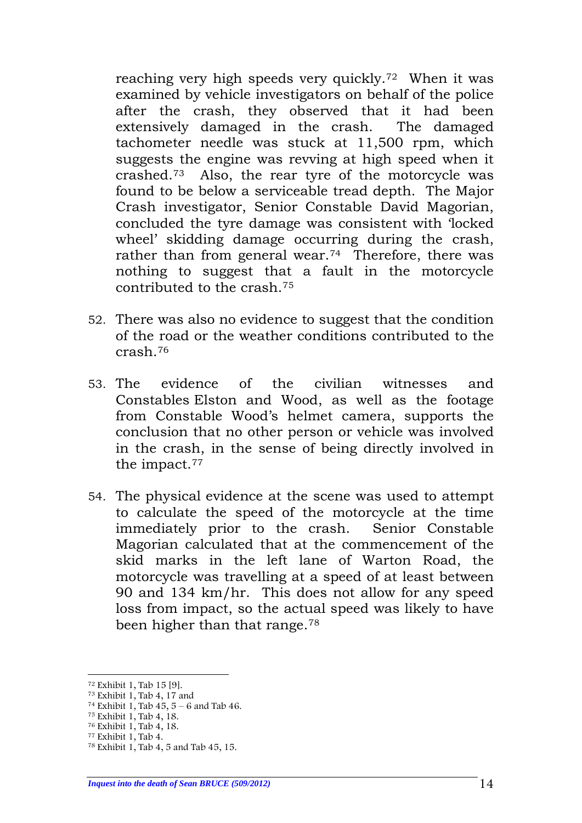reaching very high speeds very quickly.[72](#page-13-0) When it was examined by vehicle investigators on behalf of the police after the crash, they observed that it had been extensively damaged in the crash. The damaged tachometer needle was stuck at 11,500 rpm, which suggests the engine was revving at high speed when it crashed.[73](#page-13-1) Also, the rear tyre of the motorcycle was found to be below a serviceable tread depth. The Major Crash investigator, Senior Constable David Magorian, concluded the tyre damage was consistent with 'locked wheel' skidding damage occurring during the crash, rather than from general wear.<sup>74</sup> Therefore, there was nothing to suggest that a fault in the motorcycle contributed to the crash.[75](#page-13-3)

- 52. There was also no evidence to suggest that the condition of the road or the weather conditions contributed to the crash.[76](#page-13-4)
- 53. The evidence of the civilian witnesses and Constables Elston and Wood, as well as the footage from Constable Wood's helmet camera, supports the conclusion that no other person or vehicle was involved in the crash, in the sense of being directly involved in the impact[.77](#page-13-5)
- 54. The physical evidence at the scene was used to attempt to calculate the speed of the motorcycle at the time immediately prior to the crash. Senior Constable Magorian calculated that at the commencement of the skid marks in the left lane of Warton Road, the motorcycle was travelling at a speed of at least between 90 and 134 km/hr. This does not allow for any speed loss from impact, so the actual speed was likely to have been higher than that range.[78](#page-13-6)

<span id="page-13-0"></span><sup>&</sup>lt;sup>72</sup> Exhibit 1, Tab 15 [9].<br><sup>73</sup> Exhibit 1, Tab 4, 17 and

<span id="page-13-2"></span><span id="page-13-1"></span><sup>&</sup>lt;sup>74</sup> Exhibit 1, Tab  $45, 5 - 6$  and Tab 46.

<span id="page-13-3"></span><sup>75</sup> Exhibit 1, Tab 4, 18.

<span id="page-13-4"></span><sup>76</sup> Exhibit 1, Tab 4, 18.

<span id="page-13-6"></span><span id="page-13-5"></span><sup>77</sup> Exhibit 1, Tab 4.

<sup>78</sup> Exhibit 1, Tab 4, 5 and Tab 45, 15.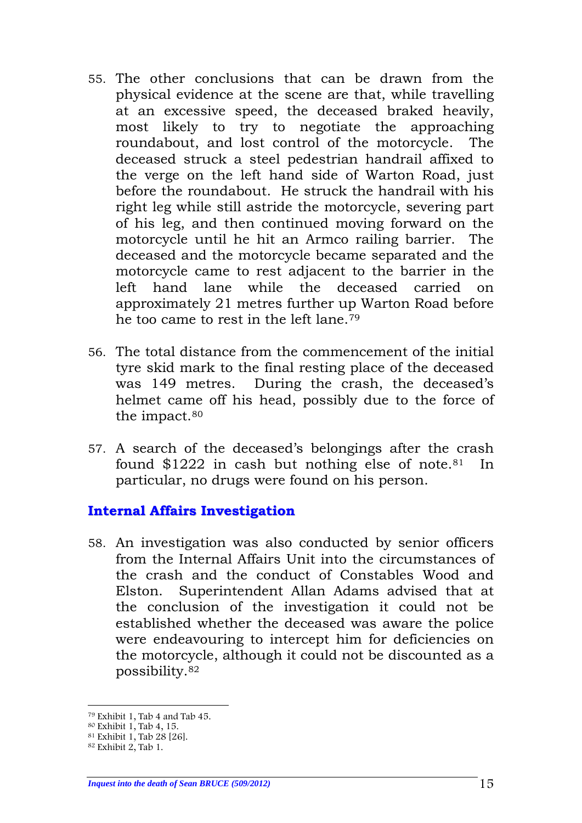- 55. The other conclusions that can be drawn from the physical evidence at the scene are that, while travelling at an excessive speed, the deceased braked heavily, most likely to try to negotiate the approaching roundabout, and lost control of the motorcycle. The deceased struck a steel pedestrian handrail affixed to the verge on the left hand side of Warton Road, just before the roundabout. He struck the handrail with his right leg while still astride the motorcycle, severing part of his leg, and then continued moving forward on the motorcycle until he hit an Armco railing barrier. The deceased and the motorcycle became separated and the motorcycle came to rest adjacent to the barrier in the left hand lane while the deceased carried on approximately 21 metres further up Warton Road before he too came to rest in the left lane.[79](#page-14-1)
- 56. The total distance from the commencement of the initial tyre skid mark to the final resting place of the deceased was 149 metres. During the crash, the deceased's helmet came off his head, possibly due to the force of the impact[.80](#page-14-2)
- 57. A search of the deceased's belongings after the crash found  $$1222$  in cash but nothing else of note.<sup>81</sup> In particular, no drugs were found on his person.

#### <span id="page-14-0"></span>**Internal Affairs Investigation**

58. An investigation was also conducted by senior officers from the Internal Affairs Unit into the circumstances of the crash and the conduct of Constables Wood and Elston. Superintendent Allan Adams advised that at the conclusion of the investigation it could not be established whether the deceased was aware the police were endeavouring to intercept him for deficiencies on the motorcycle, although it could not be discounted as a possibility.[82](#page-14-4)

<span id="page-14-1"></span> <sup>79</sup> Exhibit 1, Tab 4 and Tab 45.

<span id="page-14-2"></span><sup>80</sup> Exhibit 1, Tab 4, 15.

<sup>81</sup> Exhibit 1, Tab 28 [26].

<span id="page-14-4"></span><span id="page-14-3"></span><sup>82</sup> Exhibit 2, Tab 1.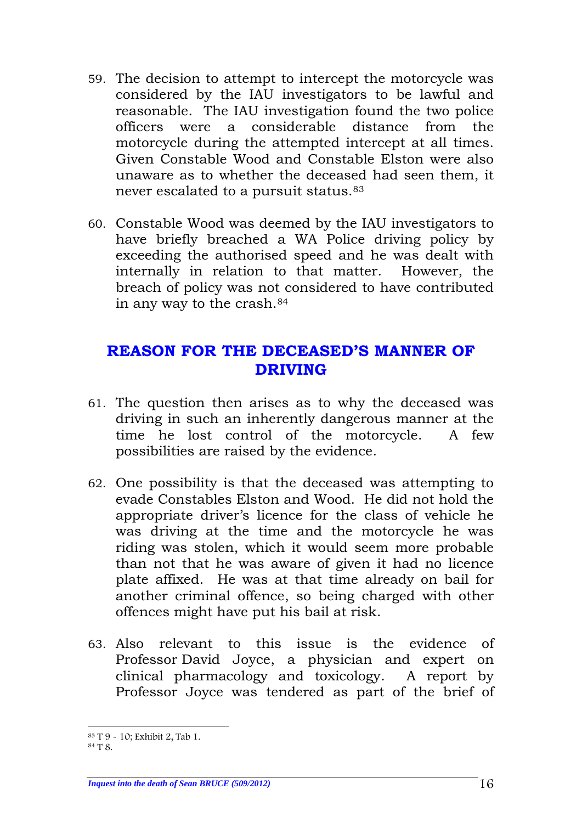- 59. The decision to attempt to intercept the motorcycle was considered by the IAU investigators to be lawful and reasonable. The IAU investigation found the two police officers were a considerable distance from the motorcycle during the attempted intercept at all times. Given Constable Wood and Constable Elston were also unaware as to whether the deceased had seen them, it never escalated to a pursuit status.<sup>[83](#page-15-1)</sup>
- 60. Constable Wood was deemed by the IAU investigators to have briefly breached a WA Police driving policy by exceeding the authorised speed and he was dealt with internally in relation to that matter. However, the breach of policy was not considered to have contributed in any way to the crash.[84](#page-15-2)

## <span id="page-15-0"></span>**REASON FOR THE DECEASED'S MANNER OF DRIVING**

- 61. The question then arises as to why the deceased was driving in such an inherently dangerous manner at the time he lost control of the motorcycle. A few possibilities are raised by the evidence.
- 62. One possibility is that the deceased was attempting to evade Constables Elston and Wood. He did not hold the appropriate driver's licence for the class of vehicle he was driving at the time and the motorcycle he was riding was stolen, which it would seem more probable than not that he was aware of given it had no licence plate affixed. He was at that time already on bail for another criminal offence, so being charged with other offences might have put his bail at risk.
- 63. Also relevant to this issue is the evidence of Professor David Joyce, a physician and expert on clinical pharmacology and toxicology. A report by Professor Joyce was tendered as part of the brief of

<span id="page-15-2"></span><span id="page-15-1"></span> <sup>83</sup> T 9 - 10; Exhibit 2, Tab 1.

<sup>84</sup> T 8.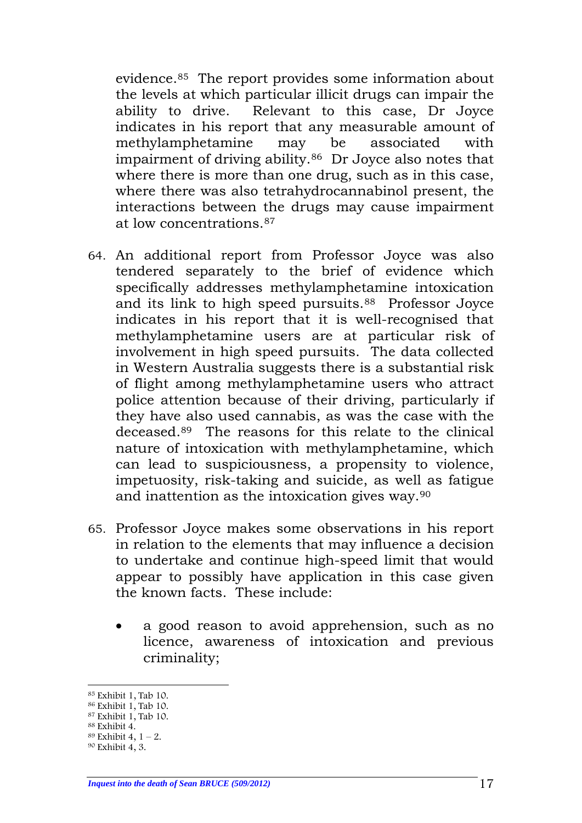evidence.[85](#page-16-0) The report provides some information about the levels at which particular illicit drugs can impair the ability to drive. Relevant to this case, Dr Joyce indicates in his report that any measurable amount of methylamphetamine may be associated with impairment of driving ability[.86](#page-16-1) Dr Joyce also notes that where there is more than one drug, such as in this case, where there was also tetrahydrocannabinol present, the interactions between the drugs may cause impairment at low concentrations.[87](#page-16-2)

- 64. An additional report from Professor Joyce was also tendered separately to the brief of evidence which specifically addresses methylamphetamine intoxication and its link to high speed pursuits.<sup>[88](#page-16-3)</sup> Professor Joyce indicates in his report that it is well-recognised that methylamphetamine users are at particular risk of involvement in high speed pursuits. The data collected in Western Australia suggests there is a substantial risk of flight among methylamphetamine users who attract police attention because of their driving, particularly if they have also used cannabis, as was the case with the deceased.[89](#page-16-4) The reasons for this relate to the clinical nature of intoxication with methylamphetamine, which can lead to suspiciousness, a propensity to violence, impetuosity, risk-taking and suicide, as well as fatigue and inattention as the intoxication gives way.[90](#page-16-5)
- 65. Professor Joyce makes some observations in his report in relation to the elements that may influence a decision to undertake and continue high-speed limit that would appear to possibly have application in this case given the known facts. These include:
	- a good reason to avoid apprehension, such as no licence, awareness of intoxication and previous criminality;

<span id="page-16-0"></span> <sup>85</sup> Exhibit 1, Tab 10.

<span id="page-16-1"></span><sup>86</sup> Exhibit 1, Tab 10. <sup>87</sup> Exhibit 1, Tab 10.

<span id="page-16-2"></span><sup>88</sup> Exhibit 4.

<span id="page-16-3"></span> $89$  Exhibit 4,  $1 - 2$ .

<span id="page-16-5"></span><span id="page-16-4"></span><sup>90</sup> Exhibit 4, 3.

*Inquest into the death of Sean BRUCE (509/2012)* 17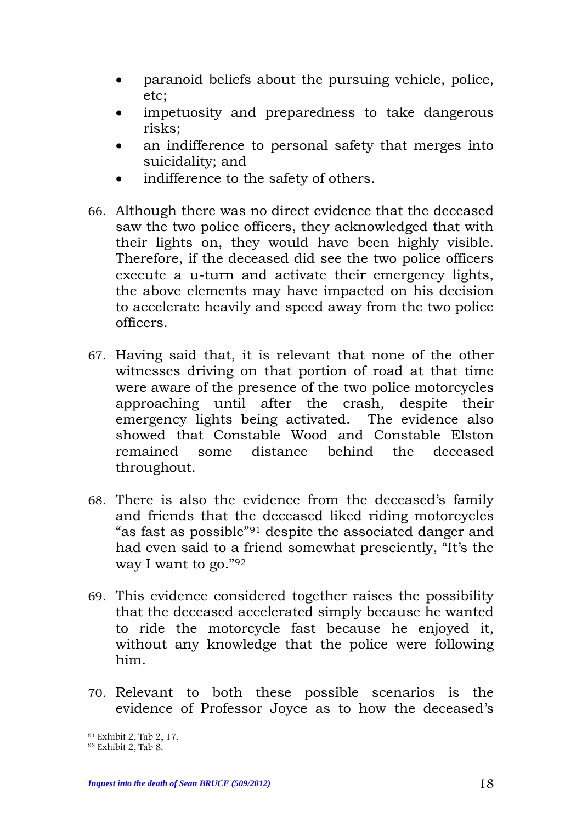- paranoid beliefs about the pursuing vehicle, police, etc;
- impetuosity and preparedness to take dangerous risks;
- an indifference to personal safety that merges into suicidality; and
- indifference to the safety of others.
- 66. Although there was no direct evidence that the deceased saw the two police officers, they acknowledged that with their lights on, they would have been highly visible. Therefore, if the deceased did see the two police officers execute a u-turn and activate their emergency lights, the above elements may have impacted on his decision to accelerate heavily and speed away from the two police officers.
- 67. Having said that, it is relevant that none of the other witnesses driving on that portion of road at that time were aware of the presence of the two police motorcycles approaching until after the crash, despite their emergency lights being activated. The evidence also showed that Constable Wood and Constable Elston remained some distance behind the deceased throughout.
- 68. There is also the evidence from the deceased's family and friends that the deceased liked riding motorcycles "as fast as possible"[91](#page-17-0) despite the associated danger and had even said to a friend somewhat presciently, "It's the way I want to go."[92](#page-17-1)
- 69. This evidence considered together raises the possibility that the deceased accelerated simply because he wanted to ride the motorcycle fast because he enjoyed it, without any knowledge that the police were following him.
- 70. Relevant to both these possible scenarios is the evidence of Professor Joyce as to how the deceased's

<sup>-&</sup>lt;br><sup>91</sup> Exhibit 2, Tab 2, 17.

<span id="page-17-1"></span><span id="page-17-0"></span><sup>92</sup> Exhibit 2, Tab 8.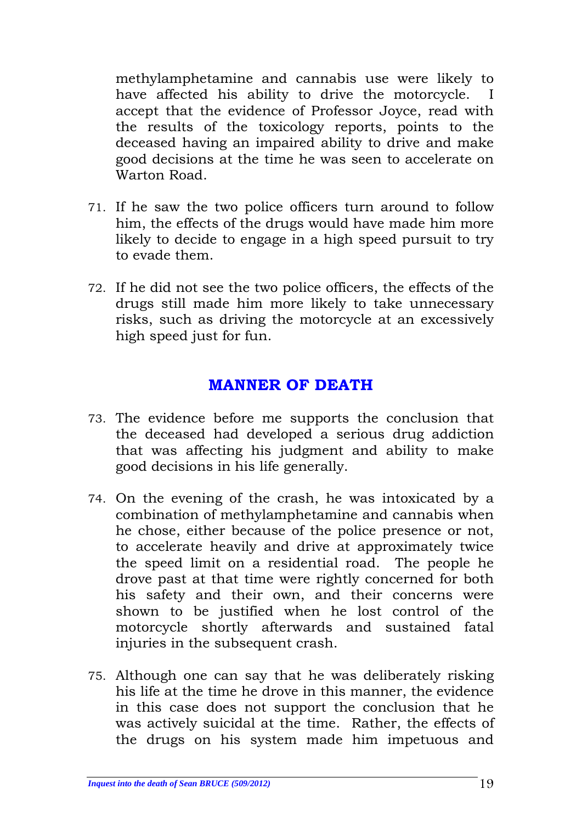methylamphetamine and cannabis use were likely to have affected his ability to drive the motorcycle. I accept that the evidence of Professor Joyce, read with the results of the toxicology reports, points to the deceased having an impaired ability to drive and make good decisions at the time he was seen to accelerate on Warton Road.

- 71. If he saw the two police officers turn around to follow him, the effects of the drugs would have made him more likely to decide to engage in a high speed pursuit to try to evade them.
- 72. If he did not see the two police officers, the effects of the drugs still made him more likely to take unnecessary risks, such as driving the motorcycle at an excessively high speed just for fun.

## **MANNER OF DEATH**

- <span id="page-18-0"></span>73. The evidence before me supports the conclusion that the deceased had developed a serious drug addiction that was affecting his judgment and ability to make good decisions in his life generally.
- 74. On the evening of the crash, he was intoxicated by a combination of methylamphetamine and cannabis when he chose, either because of the police presence or not, to accelerate heavily and drive at approximately twice the speed limit on a residential road. The people he drove past at that time were rightly concerned for both his safety and their own, and their concerns were shown to be justified when he lost control of the motorcycle shortly afterwards and sustained fatal injuries in the subsequent crash.
- 75. Although one can say that he was deliberately risking his life at the time he drove in this manner, the evidence in this case does not support the conclusion that he was actively suicidal at the time. Rather, the effects of the drugs on his system made him impetuous and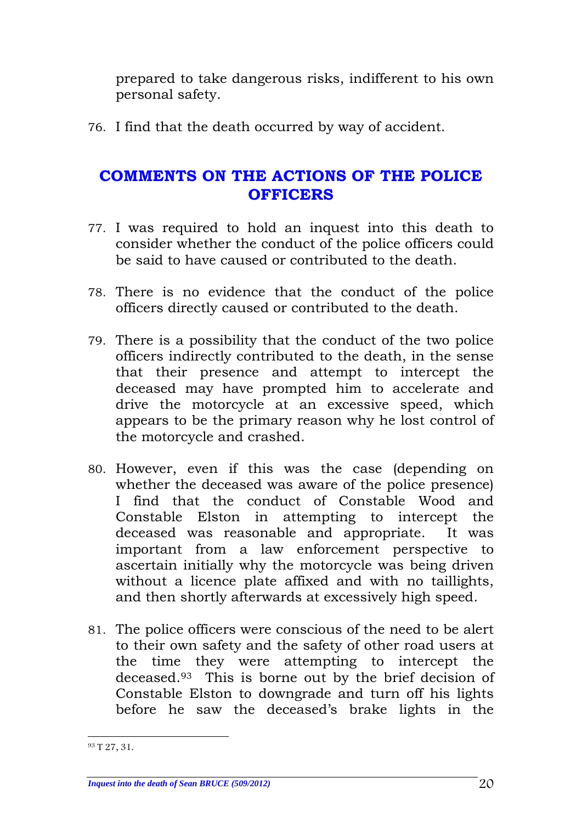prepared to take dangerous risks, indifferent to his own personal safety.

76. I find that the death occurred by way of accident.

# <span id="page-19-0"></span>**COMMENTS ON THE ACTIONS OF THE POLICE OFFICERS**

- 77. I was required to hold an inquest into this death to consider whether the conduct of the police officers could be said to have caused or contributed to the death.
- 78. There is no evidence that the conduct of the police officers directly caused or contributed to the death.
- 79. There is a possibility that the conduct of the two police officers indirectly contributed to the death, in the sense that their presence and attempt to intercept the deceased may have prompted him to accelerate and drive the motorcycle at an excessive speed, which appears to be the primary reason why he lost control of the motorcycle and crashed.
- 80. However, even if this was the case (depending on whether the deceased was aware of the police presence) I find that the conduct of Constable Wood and Constable Elston in attempting to intercept the deceased was reasonable and appropriate. It was important from a law enforcement perspective to ascertain initially why the motorcycle was being driven without a licence plate affixed and with no taillights, and then shortly afterwards at excessively high speed.
- 81. The police officers were conscious of the need to be alert to their own safety and the safety of other road users at the time they were attempting to intercept the deceased.[93](#page-19-1) This is borne out by the brief decision of Constable Elston to downgrade and turn off his lights before he saw the deceased's brake lights in the

<span id="page-19-1"></span> <sup>93</sup> T 27, 31.